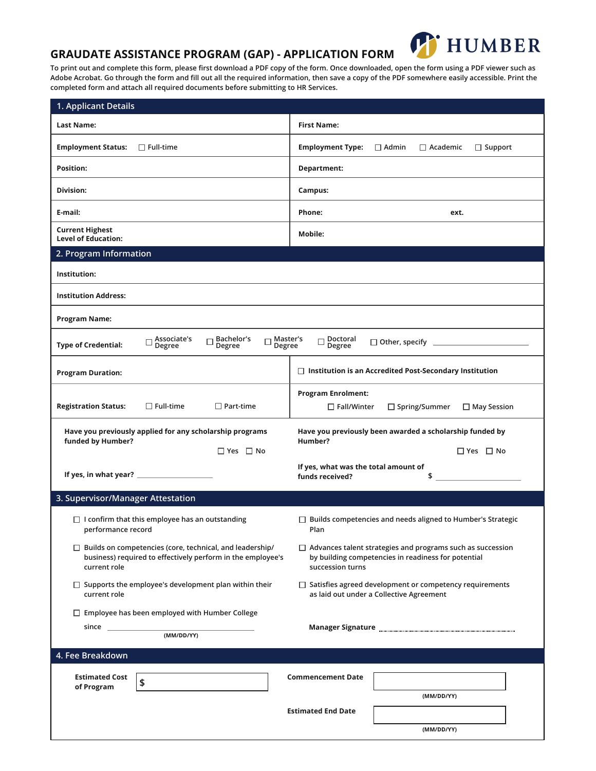## **GRAUDATE ASSISTANCE PROGRAM (GAP) - APPLICATION FORM**

**To print out and complete this form, please first download a PDF copy of the form. Once downloaded, open the form using a PDF viewer such as Adobe Acrobat. Go through the form and fill out all the required information, then save a copy of the PDF somewhere easily accessible. Print the completed form and attach all required documents before submitting to HR Services.** 

**HUMBER** 

 $\mathbf{L}$ 

| 1. Applicant Details                                                                                                                                                     |                                                                                                                                                                                                                                          |  |
|--------------------------------------------------------------------------------------------------------------------------------------------------------------------------|------------------------------------------------------------------------------------------------------------------------------------------------------------------------------------------------------------------------------------------|--|
| <b>Last Name:</b>                                                                                                                                                        | <b>First Name:</b>                                                                                                                                                                                                                       |  |
| <b>Employment Status:</b><br>$\Box$ Full-time                                                                                                                            | <b>Employment Type:</b><br>$\Box$ Admin<br>$\Box$ Academic<br>$\Box$ Support                                                                                                                                                             |  |
| <b>Position:</b>                                                                                                                                                         | Department:                                                                                                                                                                                                                              |  |
| Division:                                                                                                                                                                | Campus:                                                                                                                                                                                                                                  |  |
| E-mail:                                                                                                                                                                  | Phone:<br>ext.                                                                                                                                                                                                                           |  |
| <b>Current Highest</b><br><b>Level of Education:</b>                                                                                                                     | <b>Mobile:</b>                                                                                                                                                                                                                           |  |
| 2. Program Information                                                                                                                                                   |                                                                                                                                                                                                                                          |  |
| Institution:                                                                                                                                                             |                                                                                                                                                                                                                                          |  |
| <b>Institution Address:</b>                                                                                                                                              |                                                                                                                                                                                                                                          |  |
| <b>Program Name:</b>                                                                                                                                                     |                                                                                                                                                                                                                                          |  |
| $\Box \stackrel{\text{Associate's}}{\text{Degree}}$<br>Bachelor's<br>$\Box$ Master's<br>$\Box$ Doctoral<br>П<br><b>Type of Credential:</b><br>Degree<br>Degree<br>Degree |                                                                                                                                                                                                                                          |  |
| <b>Program Duration:</b>                                                                                                                                                 | $\Box$ Institution is an Accredited Post-Secondary Institution                                                                                                                                                                           |  |
| <b>Registration Status:</b><br>$\Box$ Full-time<br>$\Box$ Part-time                                                                                                      | <b>Program Enrolment:</b><br>$\Box$ Fall/Winter<br>$\Box$ Spring/Summer<br>$\Box$ May Session                                                                                                                                            |  |
| Have you previously applied for any scholarship programs<br>funded by Humber?                                                                                            | Have you previously been awarded a scholarship funded by<br>Humber?                                                                                                                                                                      |  |
| $\Box$ Yes $\Box$ No                                                                                                                                                     | $\Box$ Yes $\Box$ No                                                                                                                                                                                                                     |  |
|                                                                                                                                                                          | If yes, what was the total amount of<br>\$<br>funds received?                                                                                                                                                                            |  |
| 3. Supervisor/Manager Attestation                                                                                                                                        |                                                                                                                                                                                                                                          |  |
| $\Box$ I confirm that this employee has an outstanding<br>performance record                                                                                             | $\Box$ Builds competencies and needs aligned to Humber's Strategic<br>Plan                                                                                                                                                               |  |
| $\Box$ Builds on competencies (core, technical, and leadership/<br>business) required to effectively perform in the employee's<br>current role                           | $\Box$ Advances talent strategies and programs such as succession<br>by building competencies in readiness for potential<br>succession turns                                                                                             |  |
| $\Box$ Supports the employee's development plan within their<br>current role                                                                                             | $\Box$ Satisfies agreed development or competency requirements<br>as laid out under a Collective Agreement                                                                                                                               |  |
|                                                                                                                                                                          |                                                                                                                                                                                                                                          |  |
| $\Box$ Employee has been employed with Humber College                                                                                                                    |                                                                                                                                                                                                                                          |  |
| (MM/DD/YY)                                                                                                                                                               | Manager Signature <b>Manager Signature</b> Manager Signature <b>Manager Signature Manager Signature</b> Manager Signature Manager Signature Manager Signature Manager Signature Manager Signature Manager Signature Manager Signature Ma |  |
| 4. Fee Breakdown                                                                                                                                                         |                                                                                                                                                                                                                                          |  |
| <b>Estimated Cost</b>                                                                                                                                                    | <b>Commencement Date</b>                                                                                                                                                                                                                 |  |
| \$<br>of Program                                                                                                                                                         | (MM/DD/YY)                                                                                                                                                                                                                               |  |
|                                                                                                                                                                          | <b>Estimated End Date</b>                                                                                                                                                                                                                |  |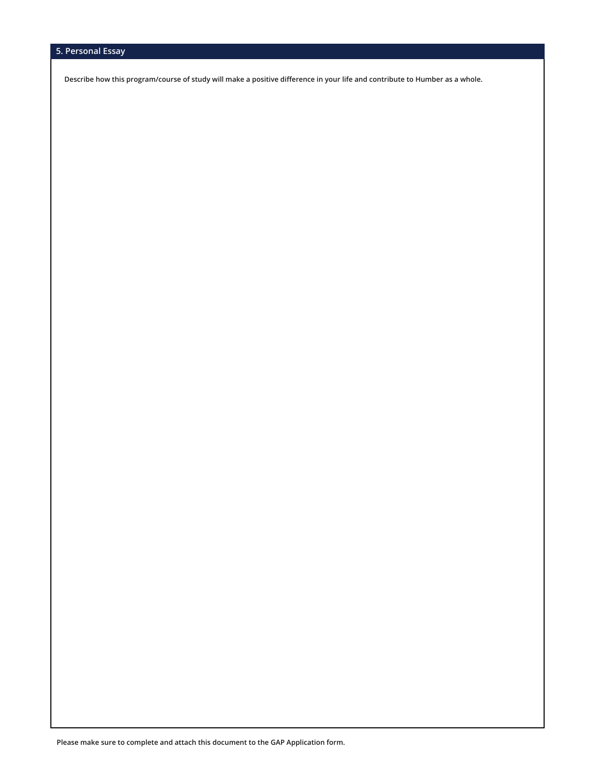**Describe how this program/course of study will make a positive difference in your life and contribute to Humber as a whole.**